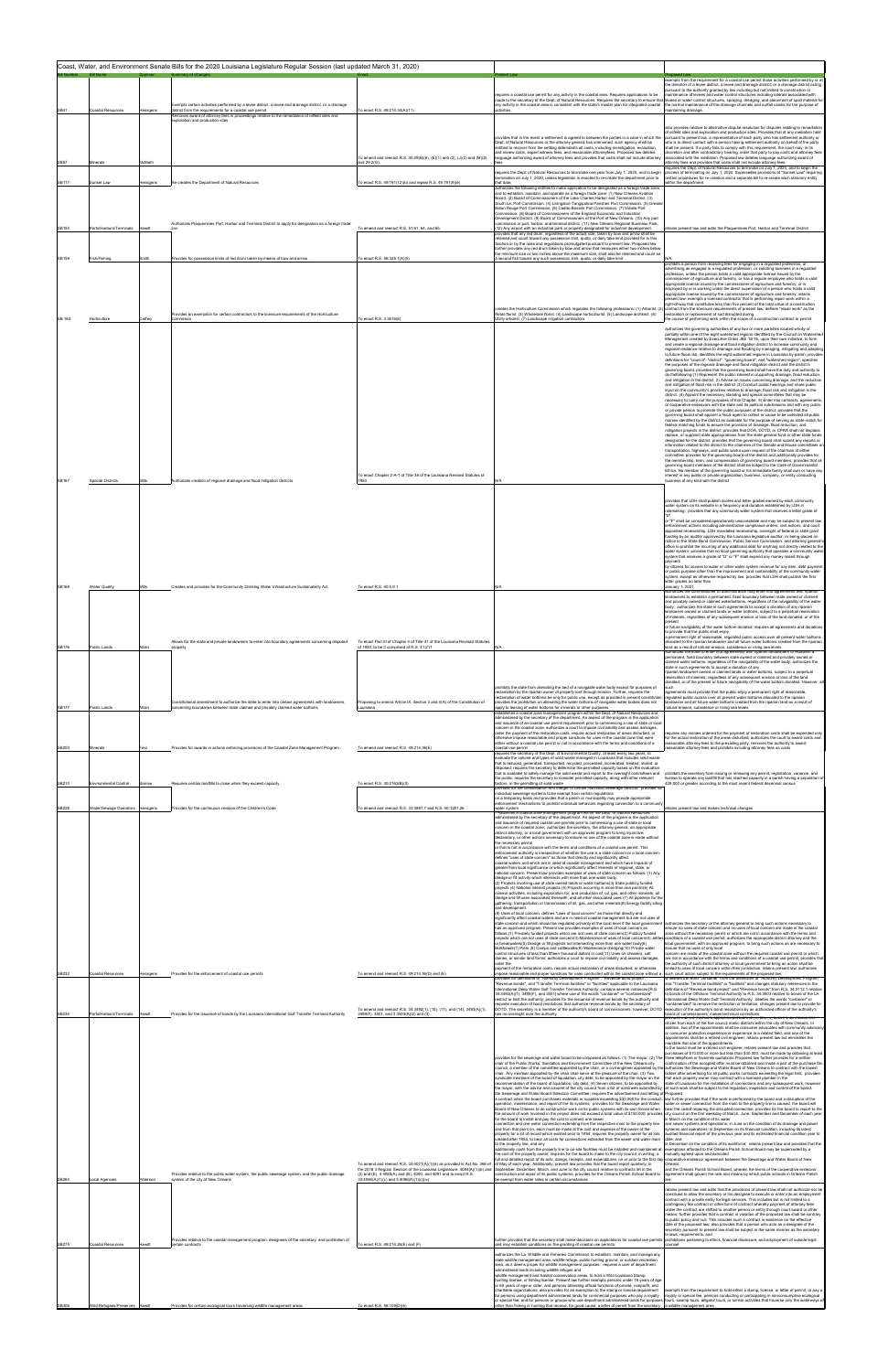|              |                          |               |                                                                                                                                        | Coast, Water, and Environment Senate Bills for the 2020 Louisiana Legislature Regular Session (last updated March 31, 2020)                            |                                                                                                                                                                                                                                                                                                                                                                                 |
|--------------|--------------------------|---------------|----------------------------------------------------------------------------------------------------------------------------------------|--------------------------------------------------------------------------------------------------------------------------------------------------------|---------------------------------------------------------------------------------------------------------------------------------------------------------------------------------------------------------------------------------------------------------------------------------------------------------------------------------------------------------------------------------|
|              |                          |               |                                                                                                                                        |                                                                                                                                                        |                                                                                                                                                                                                                                                                                                                                                                                 |
|              |                          |               |                                                                                                                                        |                                                                                                                                                        |                                                                                                                                                                                                                                                                                                                                                                                 |
|              |                          |               |                                                                                                                                        |                                                                                                                                                        | requires a coastal use permit for any activity in the coastal area. Requires applications to be                                                                                                                                                                                                                                                                                 |
|              |                          |               | Exempts certain activities performed by a levee district, a levee and drainage district, or a drainage                                 |                                                                                                                                                        | made to the secretary of the Dept. of Natural Resources. Requires the secretary to ensure that levees or water control structures, spraying, dredging, and placement of spoil material for<br>any activity in the coastal area is consistent with the state's master plan for integrated coastal                                                                                |
| <b>SB41</b>  | Coastal Resources        | ensgens       | district from the requirements for a coastal use permit                                                                                | To enact R.S. 49:214.34(A)(11)                                                                                                                         | activities                                                                                                                                                                                                                                                                                                                                                                      |
|              |                          |               | Removes award of attorney fees in proceedings relative to the remediation of oilfield sites and<br>exploration and production sites    |                                                                                                                                                        |                                                                                                                                                                                                                                                                                                                                                                                 |
|              |                          |               |                                                                                                                                        |                                                                                                                                                        |                                                                                                                                                                                                                                                                                                                                                                                 |
|              |                          |               |                                                                                                                                        |                                                                                                                                                        | provides that in the event a settlement is agreed to between the parties in a case in which the                                                                                                                                                                                                                                                                                 |
|              |                          |               |                                                                                                                                        |                                                                                                                                                        | Dept. of Natural Resources or the attorney general has intervened, such agency shall be<br>ntitled to recover from the settling defendants all costs, including investigation, evaluation,                                                                                                                                                                                      |
|              |                          |               |                                                                                                                                        | To amend and reenact R.S. 30:29(B)(6), (E)(1) and (2), (J)(2) and (M)(2)                                                                               | and review costs, expert witness fees, and reasonable attorneyfees. Proposed law deletes<br>anguage authorizing award of attorney fees and provides that costs shall not include attorney                                                                                                                                                                                       |
| <b>SB57</b>  | vinerals                 | McMath        |                                                                                                                                        | and 29.2(G),                                                                                                                                           |                                                                                                                                                                                                                                                                                                                                                                                 |
|              |                          |               |                                                                                                                                        |                                                                                                                                                        | equires the Dept of Natural Resources to terminate one year from July 1, 2020, and to begin                                                                                                                                                                                                                                                                                     |
| SB117        | Sunset Law               | lensgens      | Re-creates the Department of Natural Resources                                                                                         | To enact R.S. 49:191(12)(b) and repeal R.S. 49:191(9)(e)                                                                                               | ermination on July 1, 2020, unless legislation is enacted to re-create the department prior to<br>that date.                                                                                                                                                                                                                                                                    |
|              |                          |               |                                                                                                                                        |                                                                                                                                                        | authorizes the following entities to make application to be designated as a foreign trade zone<br>and to establish, maintain, and operate as a foreign trade zone: (1) New Orleans Aviation                                                                                                                                                                                     |
|              |                          |               |                                                                                                                                        |                                                                                                                                                        | Board, (2) Board of Commissioners of the Lake Charles Harbor and Terminal District, (3)<br>South La. Port Commission. (4) Livingston-Tangipahoa Parishes Port Commission. (5) Great                                                                                                                                                                                             |
|              |                          |               |                                                                                                                                        |                                                                                                                                                        | Baton Rouge Port Commission. (6) Caddo-Bossier Port Commission. (7) Vidalia Port                                                                                                                                                                                                                                                                                                |
|              |                          |               |                                                                                                                                        |                                                                                                                                                        | Commission, (8) Board of Commissioners of the England Economic and Industrial<br>Development District. (9) Board of Commissioners of the Port of New Orleans. (10) Any port                                                                                                                                                                                                     |
| <b>SB154</b> | Ports/Harbors/Terminals  | <b>Hewitt</b> | Authorizes Plaquemines Port, Harbor and Terminal District to apply for designation as a foreign trade                                  | To amend and reenact R.S. 51:61, 64, and 65                                                                                                            | mmission or port, harbor, and terminal district, (11) New Orleans Regional Business Park.<br>12) Any airport with an industrial park or property designated for industrial development.                                                                                                                                                                                         |
|              |                          |               |                                                                                                                                        |                                                                                                                                                        | rovides that any red drum, regardless of the actual size, taken by bow and arrow shall be<br>etained and count toward any possession limit, quota, or daily take limit provided for in this                                                                                                                                                                                     |
|              |                          |               |                                                                                                                                        |                                                                                                                                                        | Section or by the rules and regulations promulgated pursuant to present law. Proposed law<br>further provides any red drum taken by bow and arrow that measures either two inches below                                                                                                                                                                                         |
|              |                          |               |                                                                                                                                        |                                                                                                                                                        | he minimum size or two inches above the maximum size, shall also be retained and count as                                                                                                                                                                                                                                                                                       |
| SB159        | Fish/Fishing             | Smith         | Provides for possession limits of red drum taken by means of bow and arrow                                                             | To enact R.S. 56:325.1(A)(5)                                                                                                                           | second fish toward any such possession limit, quota, or daily take limit                                                                                                                                                                                                                                                                                                        |
|              |                          |               |                                                                                                                                        |                                                                                                                                                        |                                                                                                                                                                                                                                                                                                                                                                                 |
|              |                          |               |                                                                                                                                        |                                                                                                                                                        |                                                                                                                                                                                                                                                                                                                                                                                 |
|              |                          |               |                                                                                                                                        |                                                                                                                                                        |                                                                                                                                                                                                                                                                                                                                                                                 |
|              |                          |               |                                                                                                                                        |                                                                                                                                                        |                                                                                                                                                                                                                                                                                                                                                                                 |
|              |                          |               |                                                                                                                                        |                                                                                                                                                        | creates the Horticulture Commission which regulates the following professions: (1) Arborist. (2) contract from the licensure requirements of present law; defines "repair work" as the                                                                                                                                                                                          |
| SB 163       | Horticulture             | Cathey        | movides an exemption for certain contractors to the licensure requirements of the Horticulture'<br>Commissio                           | To enact R.S. 3:3816(8)                                                                                                                                | Retail florist. (3) Wholesale florist. (4) Landscape horticulturist. (5) Landscape architect. (6)<br>Itility arborist, (7) Landscape irrigation contractors                                                                                                                                                                                                                     |
|              |                          |               |                                                                                                                                        |                                                                                                                                                        |                                                                                                                                                                                                                                                                                                                                                                                 |
|              |                          |               |                                                                                                                                        |                                                                                                                                                        |                                                                                                                                                                                                                                                                                                                                                                                 |
|              |                          |               |                                                                                                                                        |                                                                                                                                                        |                                                                                                                                                                                                                                                                                                                                                                                 |
|              |                          |               |                                                                                                                                        |                                                                                                                                                        |                                                                                                                                                                                                                                                                                                                                                                                 |
|              |                          |               |                                                                                                                                        |                                                                                                                                                        |                                                                                                                                                                                                                                                                                                                                                                                 |
|              |                          |               |                                                                                                                                        |                                                                                                                                                        |                                                                                                                                                                                                                                                                                                                                                                                 |
|              |                          |               |                                                                                                                                        |                                                                                                                                                        |                                                                                                                                                                                                                                                                                                                                                                                 |
|              |                          |               |                                                                                                                                        |                                                                                                                                                        |                                                                                                                                                                                                                                                                                                                                                                                 |
|              |                          |               |                                                                                                                                        |                                                                                                                                                        |                                                                                                                                                                                                                                                                                                                                                                                 |
|              |                          |               |                                                                                                                                        |                                                                                                                                                        |                                                                                                                                                                                                                                                                                                                                                                                 |
|              |                          |               |                                                                                                                                        |                                                                                                                                                        | or private person to promote the public purposes of the district; provides that the                                                                                                                                                                                                                                                                                             |
|              |                          |               |                                                                                                                                        |                                                                                                                                                        |                                                                                                                                                                                                                                                                                                                                                                                 |
|              |                          |               |                                                                                                                                        |                                                                                                                                                        |                                                                                                                                                                                                                                                                                                                                                                                 |
|              |                          |               |                                                                                                                                        |                                                                                                                                                        |                                                                                                                                                                                                                                                                                                                                                                                 |
|              |                          |               |                                                                                                                                        |                                                                                                                                                        | transportation, highways, and public works upon request of the chairman of either                                                                                                                                                                                                                                                                                               |
|              |                          |               |                                                                                                                                        |                                                                                                                                                        |                                                                                                                                                                                                                                                                                                                                                                                 |
|              |                          |               |                                                                                                                                        |                                                                                                                                                        |                                                                                                                                                                                                                                                                                                                                                                                 |
|              |                          |               |                                                                                                                                        | To enact Chapter 2-A-1 of Title 38 of the Louisiana Revised Statutes of                                                                                |                                                                                                                                                                                                                                                                                                                                                                                 |
| <b>SB167</b> | <b>Special Districts</b> | Mills         | Authorizes creation of regional drainage and flood mitigation districts                                                                | 1950                                                                                                                                                   |                                                                                                                                                                                                                                                                                                                                                                                 |
|              |                          |               |                                                                                                                                        |                                                                                                                                                        |                                                                                                                                                                                                                                                                                                                                                                                 |
|              |                          |               |                                                                                                                                        |                                                                                                                                                        |                                                                                                                                                                                                                                                                                                                                                                                 |
|              |                          |               |                                                                                                                                        |                                                                                                                                                        |                                                                                                                                                                                                                                                                                                                                                                                 |
|              |                          |               |                                                                                                                                        |                                                                                                                                                        |                                                                                                                                                                                                                                                                                                                                                                                 |
|              |                          |               |                                                                                                                                        |                                                                                                                                                        |                                                                                                                                                                                                                                                                                                                                                                                 |
|              |                          |               |                                                                                                                                        |                                                                                                                                                        |                                                                                                                                                                                                                                                                                                                                                                                 |
|              |                          |               |                                                                                                                                        |                                                                                                                                                        |                                                                                                                                                                                                                                                                                                                                                                                 |
|              |                          |               |                                                                                                                                        |                                                                                                                                                        |                                                                                                                                                                                                                                                                                                                                                                                 |
|              |                          |               |                                                                                                                                        |                                                                                                                                                        |                                                                                                                                                                                                                                                                                                                                                                                 |
|              |                          |               |                                                                                                                                        |                                                                                                                                                        |                                                                                                                                                                                                                                                                                                                                                                                 |
|              |                          |               |                                                                                                                                        |                                                                                                                                                        |                                                                                                                                                                                                                                                                                                                                                                                 |
| <b>SB168</b> | <b>Water Quality</b>     | Mills         | Creates and provides for the Community Drinking Water Infrastructure Sustainability Act                                                | To enact R.S. 40:5.9.1                                                                                                                                 |                                                                                                                                                                                                                                                                                                                                                                                 |
|              |                          |               |                                                                                                                                        |                                                                                                                                                        |                                                                                                                                                                                                                                                                                                                                                                                 |
|              |                          |               |                                                                                                                                        |                                                                                                                                                        |                                                                                                                                                                                                                                                                                                                                                                                 |
|              |                          |               |                                                                                                                                        |                                                                                                                                                        |                                                                                                                                                                                                                                                                                                                                                                                 |
|              |                          |               |                                                                                                                                        |                                                                                                                                                        |                                                                                                                                                                                                                                                                                                                                                                                 |
|              |                          |               |                                                                                                                                        |                                                                                                                                                        |                                                                                                                                                                                                                                                                                                                                                                                 |
|              |                          |               | Allows for the state and private landowners to enter into boundary agreements concerning disputed                                      | To enact Part III of Chapter 4 of Title 41 of the Louisiana Revised Statutes                                                                           |                                                                                                                                                                                                                                                                                                                                                                                 |
| <b>SB176</b> | Public Lands             |               | property                                                                                                                               | of 1950, to be 3 comprised of R.S. 41:211                                                                                                              |                                                                                                                                                                                                                                                                                                                                                                                 |
|              |                          |               |                                                                                                                                        |                                                                                                                                                        |                                                                                                                                                                                                                                                                                                                                                                                 |
|              |                          |               |                                                                                                                                        |                                                                                                                                                        |                                                                                                                                                                                                                                                                                                                                                                                 |
|              |                          |               |                                                                                                                                        |                                                                                                                                                        |                                                                                                                                                                                                                                                                                                                                                                                 |
|              |                          |               |                                                                                                                                        |                                                                                                                                                        |                                                                                                                                                                                                                                                                                                                                                                                 |
|              |                          |               |                                                                                                                                        |                                                                                                                                                        | prohibits the state from alienating the bed of a navigable water body except for purposes of<br>eclamation by the riparian owner of property lost through erosion. Further, requires the                                                                                                                                                                                        |
|              |                          |               | Constitutional amendment to authorize the state to enter into certain agreements with landowners                                       |                                                                                                                                                        | eclamation of water bottoms be only for public use, except as provided in present constitution:                                                                                                                                                                                                                                                                                 |
|              |                          |               |                                                                                                                                        |                                                                                                                                                        |                                                                                                                                                                                                                                                                                                                                                                                 |
| <b>SB177</b> | Public Lands             |               | erning boundaries between state claimed and privately claimed water bottoms                                                            | Proposing to amend Article IX, Section 3 and 4(A) of the Constitution of<br>Louisiana                                                                  | rovides the prohibition on alienating the water bottoms of navigable water bodies does not<br>apply to leasing of water bottoms for minerals or other purposes                                                                                                                                                                                                                  |
|              |                          |               |                                                                                                                                        |                                                                                                                                                        | stablishes a coastal zone management program within the Dept. of Natural Resources and<br>administered by the secretary of the department. An aspect of the program is the application                                                                                                                                                                                          |
|              |                          |               |                                                                                                                                        |                                                                                                                                                        | and issuance of an coastal use permit requirement prior to commencing a use of state or local<br>concern in the coastal zone: authorizes a court to impose civil liability and assess damages.                                                                                                                                                                                  |
|              |                          |               |                                                                                                                                        |                                                                                                                                                        | order the payment of the restoration costs, require actual restoration of areas disturbed, or                                                                                                                                                                                                                                                                                   |
|              |                          |               |                                                                                                                                        |                                                                                                                                                        | otherwise impose reasonable and proper sanctions for uses in the coastal zone that were<br>either without a coastal use permit or not in accordance with the terms and conditions of a                                                                                                                                                                                          |
| SB200        | Minerals                 | Fesi          | Provides for awards in actions enforcing provisions of the Coastal Zone Management Program                                             | To amend and reenact R.S. 49:214.36(E)                                                                                                                 | oastal use permit<br>requires the secretary of the Dept, of Environmental Quality, at least every two years, to                                                                                                                                                                                                                                                                 |
|              |                          |               |                                                                                                                                        |                                                                                                                                                        | evaluate the volume and types of solid waste managed in Louisiana that includes solid waste<br>that is reduced, generated, transported, recycled, processed, incinerated, treated, stored, or                                                                                                                                                                                   |
|              |                          |               |                                                                                                                                        |                                                                                                                                                        | disposed: requires the secretary to determine the permitted capacity based on the evaluation                                                                                                                                                                                                                                                                                    |
|              |                          |               |                                                                                                                                        |                                                                                                                                                        | that is available to safely manage the solid waste and report to the oversight committees and prohibits the secretary from issuing or renewing any permit, registration, variance, and<br>the public; requires the secretary to consider permitted capacity, along with other relevant                                                                                          |
| SB210        | Envrionmental Control    | Barrow        | Requires certain landfills to close when they exceed capacity                                                                          | To enact R.S. 30:2162(B)(3)                                                                                                                            | actors, in the permitting of solid waste<br>provides for the consolidation and merger of certain individual sewerage districts: provides for                                                                                                                                                                                                                                    |
|              |                          |               |                                                                                                                                        |                                                                                                                                                        | ndividual sewerage systems to be exempt from certain regulations                                                                                                                                                                                                                                                                                                                |
|              |                          |               |                                                                                                                                        |                                                                                                                                                        | on a temporary basis and provides that a parish or municipality may provide appropriate<br>enforcement mechanisms to prohibit individual behaviors regarding connection to a community                                                                                                                                                                                          |
| <b>SB228</b> | Water/Sewage Operators   | Hensgens      | Provides for the continuous revision of the Children's Code                                                                            | To amend and reenact R.S. 33:3887.7 and R.S. 40:1281.26                                                                                                | rater system<br>tablishes a coastal zone management program within the Dept. of Natural Resource                                                                                                                                                                                                                                                                                |
|              |                          |               |                                                                                                                                        |                                                                                                                                                        | administered by the secretary of the department. An aspect of the program is the application<br>and issuance of required coastal use permits prior to commencing a use of state or local                                                                                                                                                                                        |
|              |                          |               |                                                                                                                                        |                                                                                                                                                        | concern in the coastal zone; authorizes the secretary, the attorney general, an appropriate<br>district attorney, or a local government with an approved program to bring injunctive                                                                                                                                                                                            |
|              |                          |               |                                                                                                                                        |                                                                                                                                                        | declaratory, or other actions necessary to ensure no use of the coastal zone is made without<br>the necessary permit                                                                                                                                                                                                                                                            |
|              |                          |               |                                                                                                                                        |                                                                                                                                                        | or that is not in accordance with the terms and conditions of a coastal use permit. This                                                                                                                                                                                                                                                                                        |
|              |                          |               |                                                                                                                                        |                                                                                                                                                        | enforcement authority is irrespective of whether the use is a state concern or a local concern;<br>defines "uses of state concern" as those that directly and significantly affect                                                                                                                                                                                              |
|              |                          |               |                                                                                                                                        |                                                                                                                                                        | oastal waters and which are in need of coastal management and which have impacts of<br>greater than local significance or which significantly affect interests of regional, state, or                                                                                                                                                                                           |
|              |                          |               |                                                                                                                                        |                                                                                                                                                        | national concern. Present law provides examples of uses of state concern as follows: (1) Any<br>dredge or fill activity which intersects with more than one water body.                                                                                                                                                                                                         |
|              |                          |               |                                                                                                                                        |                                                                                                                                                        | (2) Projects involving use of state owned lands or water bottoms(3) State publicly funded                                                                                                                                                                                                                                                                                       |
|              |                          |               |                                                                                                                                        |                                                                                                                                                        | rojects (4) National interest projects.(5) Projects occurring in more than one parish(6) All<br>nineral activities, including exploration for, and production of, oil, gas, and other minerals, all                                                                                                                                                                             |
|              |                          |               |                                                                                                                                        |                                                                                                                                                        | dredge and fill uses associated therewith, and all other associated uses (7) All pipelines for the<br>gathering, transportation or transmission of oil, gas, and other minerals(8) Energy facility siting                                                                                                                                                                       |
|              |                          |               |                                                                                                                                        |                                                                                                                                                        | and development.<br>(9) Uses of local concern defines "uses of local concern" as those that directly and                                                                                                                                                                                                                                                                        |
|              |                          |               |                                                                                                                                        |                                                                                                                                                        | significantly affect coastal waters and are in need of coastal management but are not uses of<br>state concern and which should be regulated primarily at the local level if the local gove                                                                                                                                                                                     |
|              |                          |               |                                                                                                                                        |                                                                                                                                                        | has an approved program. Present law provides examples of uses of local concern as<br>follows:(1) Privately funded projects which are not uses of state concern(2) Publicly funded                                                                                                                                                                                              |
|              |                          |               |                                                                                                                                        |                                                                                                                                                        | rojects which are not uses of state concern(3) Maintenance of uses of local concern(4) Jetties                                                                                                                                                                                                                                                                                  |
|              |                          |               |                                                                                                                                        |                                                                                                                                                        | or breakwaters(5) Dredge or fill projects not intersecting more than one water body(6)<br>Bulkheads(7) Piers (8) Camps and cattlewalks(9) Maintenance dredging(10) Private water                                                                                                                                                                                                |
|              |                          |               |                                                                                                                                        |                                                                                                                                                        | control structures of less than fifteen thousand dollars in cost(11) Uses on cheniers, salt<br>domes, or similar land forms; authorizes a court to impose civil liability and assess damages                                                                                                                                                                                    |
|              |                          |               |                                                                                                                                        |                                                                                                                                                        | order the<br>ayment of the restoration costs, require actual restoration of areas disturbed, or otherwise                                                                                                                                                                                                                                                                       |
| SB232        | Coastal Resources        | Hensgens      | Provides for the enforcement of coastal use permits                                                                                    | To amend and reenact R.S. 49:214.36(D) and (E)                                                                                                         | npose reasonable and proper sanctions for uses conducted within the coastal zone without a                                                                                                                                                                                                                                                                                      |
|              |                          |               |                                                                                                                                        |                                                                                                                                                        | ovides for definitions of "Authority Development Program", "Revenue bond project"<br>Revenue bonds", and "Transfer Terminal facilities" or "facilities" applicable to the Louisiana                                                                                                                                                                                             |
|              |                          |               |                                                                                                                                        |                                                                                                                                                        | ternational Deep Water Gulf Transfer Terminal Authority; contains several instances [R.S.<br>34:3493(A)(1), 3499(F), and 3501] where use of the words "container" or "containerized"                                                                                                                                                                                            |
|              |                          |               |                                                                                                                                        |                                                                                                                                                        | estrict or limit the authority; provides for the issuance of revenue bonds by the authority and                                                                                                                                                                                                                                                                                 |
|              |                          |               |                                                                                                                                        | To amend and reenact R.S. 34:3492(1), (10), (11), and (14), 3493(A)(1),                                                                                | equires execution of bond resolutions that authorize revenue bonds by the secretary of<br>DOTD. The secretary is a member of the authority's board of commissioners; however, DOTD                                                                                                                                                                                              |
| SB234        | Ports/Harbors/Terminals  | Hewitt        | Provides for the issuance of bonds by the Louisiana International Gulf Transfer Terminal Authority                                     | 3499(F), 3501, and 3 3503(A)(2) and (3)                                                                                                                | as no oversight over the authority                                                                                                                                                                                                                                                                                                                                              |
|              |                          |               |                                                                                                                                        |                                                                                                                                                        |                                                                                                                                                                                                                                                                                                                                                                                 |
|              |                          |               |                                                                                                                                        |                                                                                                                                                        |                                                                                                                                                                                                                                                                                                                                                                                 |
|              |                          |               |                                                                                                                                        |                                                                                                                                                        |                                                                                                                                                                                                                                                                                                                                                                                 |
|              |                          |               |                                                                                                                                        |                                                                                                                                                        |                                                                                                                                                                                                                                                                                                                                                                                 |
|              |                          |               |                                                                                                                                        |                                                                                                                                                        | provides for the sewerage and water board to be composed as follows: (1) The mayor. (2) The three telephone or facsimile quotations.Proposed law further provides for a written<br>r of the Public Works, Sahitation and Environment Comm<br>tee or the New Orleans city                                                                                                        |
|              |                          |               |                                                                                                                                        |                                                                                                                                                        | council, a member of the committee appointed by the chair, or a civil engineer appointed by the authorizes the Sewerage and Water Board of New Orleans to contract with the lowest<br>chair. Any member appointed by the chair shall serve at the pleasure of the chair. (3) Two<br>bidder after advertising for all public works contracts exceeding the legal limit; provides |
|              |                          |               |                                                                                                                                        |                                                                                                                                                        | syndicate members of the board of liquidation, city debt, to be appointed by the mayor on the that each property owner may contract with a licensed plumber in the                                                                                                                                                                                                              |
|              |                          |               |                                                                                                                                        |                                                                                                                                                        | commendation of the board of liquidation, city debt. (4) Seven citizens, to be appointed by<br>he mayor, with the advice and consent of the city council from a list of nominees submitted by all such work shall be subject to the regulation, inspection and control of the board.                                                                                            |
|              |                          |               |                                                                                                                                        |                                                                                                                                                        | the Sewerage and Water Board Selection Committee; requires the advertisement and letting of Proposed<br>a contract when the board purchases materials or supplies exceeding \$30,000 for the conduct, law further provides that if the work is performed by the board and a disruption of the                                                                                   |
|              |                          |               |                                                                                                                                        |                                                                                                                                                        | operation, maintenance, and repair of the its systems; provides for the Sewerage and Water<br>.<br>Board of New Orleans to do construction work on its public systems with its own forces when                                                                                                                                                                                  |
|              |                          |               |                                                                                                                                        |                                                                                                                                                        | the amount of work involved in the project does not exceed a total value of \$150,000; provides                                                                                                                                                                                                                                                                                 |
|              |                          |               |                                                                                                                                        |                                                                                                                                                        | for the board to install and pay the cost to connect one sewer<br>connection and one water connection extending from the respective main to the property line                                                                                                                                                                                                                   |
|              |                          |               |                                                                                                                                        |                                                                                                                                                        | and from that point on, each must be made at the cost and expense of the owner of the<br>property for a lot of record which existed prior to 1954; requires the property owner for all lots                                                                                                                                                                                     |
|              |                          |               |                                                                                                                                        |                                                                                                                                                        | reated after 1954, to bear all costs for connections extended from the sewer and water main<br>o the property line, and any                                                                                                                                                                                                                                                     |
|              |                          |               |                                                                                                                                        |                                                                                                                                                        | additionally costs from the property line to on-site facilities must be installed and maintained at                                                                                                                                                                                                                                                                             |
|              |                          |               |                                                                                                                                        |                                                                                                                                                        | he cost of the property owner; requires for the board to make to the city council, in writing, a<br>ull and detailed report of its acts, doings, receipts, and expenditures, on or prior to the first day cooperative endeavor agreement between the Sewerage and Water Board of New                                                                                            |
|              |                          |               |                                                                                                                                        | To amend and reenact R.S. 33:4071(A)(1)(e) as provided in Act No. 366 of<br>the 2018 3 Regular Session of the Louisiana Legislature, 4084(A)(1)(b) and | of May of each year. Additionally, present law provides that the board report quarterly, in<br>September, December, March, and June to the city council relative to contracts let in the                                                                                                                                                                                        |
|              |                          | Peterson      | Provides relative to the public water system, the public sewerage system, and the public drainage<br>system of the city of New Orleans | (2) and (E), 4 4085(A) and (B), 4090, and 4091 and to enact R.S.                                                                                       | onstruction and repair of its public systems; provides for the Orleans Parish School Board to                                                                                                                                                                                                                                                                                   |
| SB264        | Local Agencies           |               |                                                                                                                                        | 33:4084(A)(1)(c) and 5 4096(A)(1)(c)(iv)                                                                                                               | e exempt from water rates in certain circumstances                                                                                                                                                                                                                                                                                                                              |
|              |                          |               |                                                                                                                                        |                                                                                                                                                        |                                                                                                                                                                                                                                                                                                                                                                                 |
|              |                          |               |                                                                                                                                        |                                                                                                                                                        |                                                                                                                                                                                                                                                                                                                                                                                 |
|              |                          |               |                                                                                                                                        |                                                                                                                                                        |                                                                                                                                                                                                                                                                                                                                                                                 |
|              |                          |               |                                                                                                                                        |                                                                                                                                                        |                                                                                                                                                                                                                                                                                                                                                                                 |
|              |                          |               |                                                                                                                                        |                                                                                                                                                        |                                                                                                                                                                                                                                                                                                                                                                                 |
|              |                          |               | Provides relative to the coastal management program, designees of the secretary, and prohibition of                                    |                                                                                                                                                        | urther provides that the secretary shall make decisions on applications for coastal use permits prohibitions pertaining to ethics, financial disclosure, and employment of outside legal                                                                                                                                                                                        |
| <b>SB275</b> | Coastal Resource         |               | ertain contracts                                                                                                                       | p enact R.S. 49:214.26(E) and (F)                                                                                                                      | nd may establish conditions on the granting of coastal use permits;                                                                                                                                                                                                                                                                                                             |
|              |                          |               |                                                                                                                                        |                                                                                                                                                        | uthorizes the La. Wildlife and Fisheries Commission to establish, maintain, and manage any                                                                                                                                                                                                                                                                                      |
|              |                          |               |                                                                                                                                        |                                                                                                                                                        | state wildlife management area, wildlife refuge, public hunting ground, or outdoor recreation<br>area, as it deems proper for wildlife management purposes; requires a user of department                                                                                                                                                                                       |
|              |                          |               |                                                                                                                                        |                                                                                                                                                        | administered lands including wildlife refuges and<br>wildlife management and habitat conservation areas, to hold a Wild Louisiana Stamp,                                                                                                                                                                                                                                        |
|              |                          |               |                                                                                                                                        |                                                                                                                                                        | hunting license, or fishing license. Present law further exempts persons under 16 years of age                                                                                                                                                                                                                                                                                  |
|              |                          |               |                                                                                                                                        |                                                                                                                                                        | or 60 years of age or older, and persons attending official functions of private, nonprofit, and<br>charitable organizations; also provides for an exemption to the stamp or license requirement<br>or persons using department administered lands for commercial purposes who pay a royalty                                                                                    |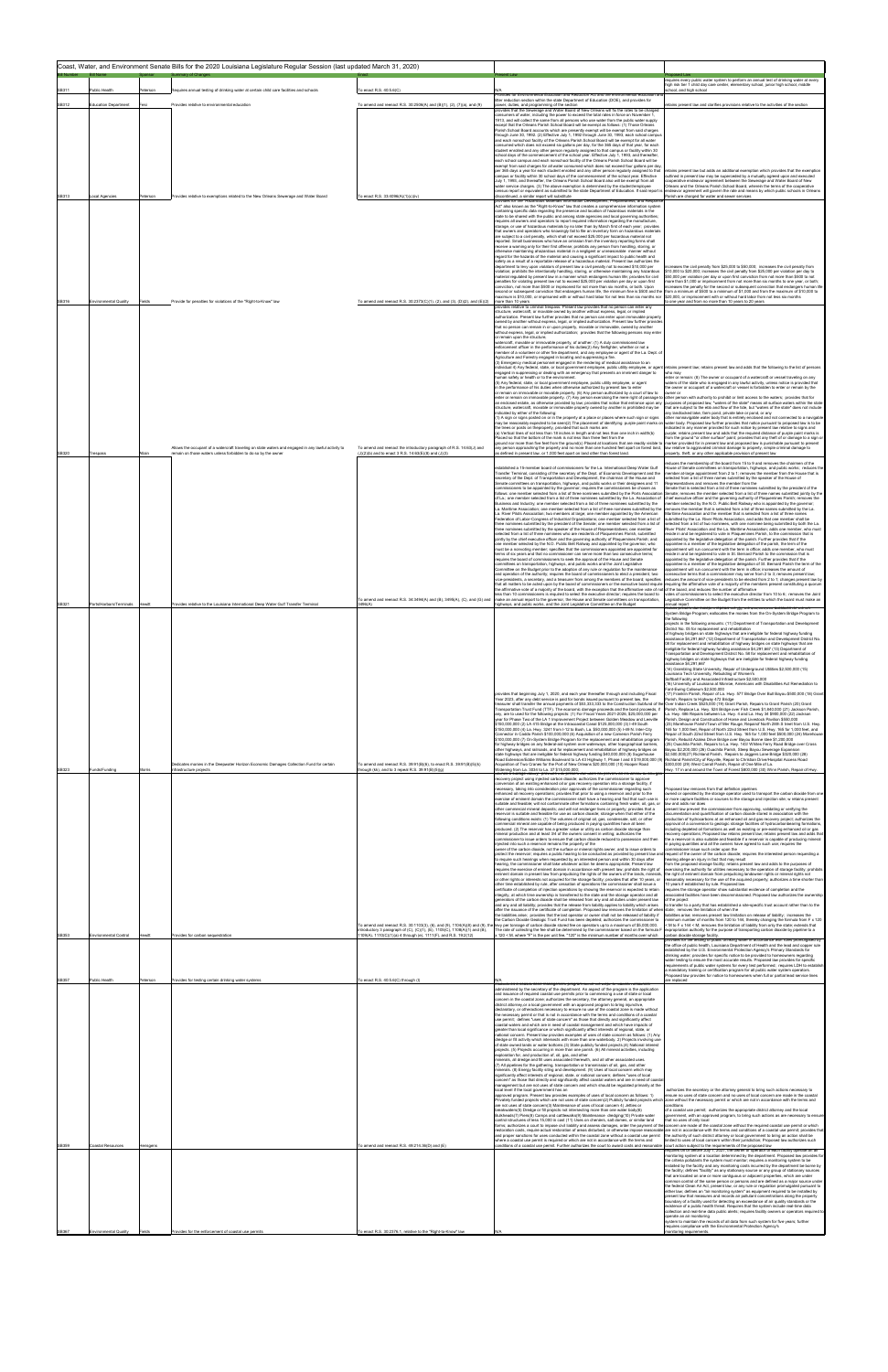|       |                              |          | Coast, Water, and Environment Senate Bills for the 2020 Louisiana Legislature Regular Session (last updated March 31, 2020) |                                                                                                                                                |                                                                                                                                                                                                                                                                                                                                                                                                                                                                                                                                                                               |                                                                                                                                                                                                                                                                                  |
|-------|------------------------------|----------|-----------------------------------------------------------------------------------------------------------------------------|------------------------------------------------------------------------------------------------------------------------------------------------|-------------------------------------------------------------------------------------------------------------------------------------------------------------------------------------------------------------------------------------------------------------------------------------------------------------------------------------------------------------------------------------------------------------------------------------------------------------------------------------------------------------------------------------------------------------------------------|----------------------------------------------------------------------------------------------------------------------------------------------------------------------------------------------------------------------------------------------------------------------------------|
|       |                              |          | mmary of C                                                                                                                  |                                                                                                                                                |                                                                                                                                                                                                                                                                                                                                                                                                                                                                                                                                                                               | requires every public water system to perform an annual test of drinking water at every<br>igh risk tier 1 child day care center, elementary school, junior high school, middle                                                                                                  |
| SB311 | Public Health                | Peterson | Requires annual testing of drinking water at certain child care facilities and schools                                      | To enact R.S. 40:5.6(C)                                                                                                                        | Provides for Environmental Education and Reduction Act and the environmental education<br>itter reduction section within the state Department of Education (DOE), and provides for                                                                                                                                                                                                                                                                                                                                                                                            | chool, and high school                                                                                                                                                                                                                                                           |
| SB312 | <b>Education Department</b>  | Fesi     | Provides relative to environmental education                                                                                | To amend and reenact R.S. 30:2506(A) and (B)(1), (2), (7)(a), and (9)                                                                          | power, duties, and programming of the section<br>rovides that the Sewerage and Water Board of New Orleans will fix the rates to be charged                                                                                                                                                                                                                                                                                                                                                                                                                                    | tains present law and clarifies provisions relative to the activities of the section                                                                                                                                                                                             |
|       |                              |          |                                                                                                                             |                                                                                                                                                | consumers of water, including the power to exceed the total rates in force on November 1,<br>1913, and will collect the same from all persons who use water from the public water supply<br>except that the Orleans Parish School Board will be exempt as follows: (1) Those Orleans                                                                                                                                                                                                                                                                                          |                                                                                                                                                                                                                                                                                  |
|       |                              |          |                                                                                                                             |                                                                                                                                                | Parish School Board accounts which are presently exempt will be exempt from said charges<br>through June 30, 1992. (2) Effective July 1, 1992 through June 30, 1993, each school campus                                                                                                                                                                                                                                                                                                                                                                                       |                                                                                                                                                                                                                                                                                  |
|       |                              |          |                                                                                                                             |                                                                                                                                                | and each nonschool facility of the Orleans Parish School Board will be exempt for all water<br>consumed which does not exceed six gallons per day, for the 365 days of that year, for each<br>student enrolled and any other person regularly assigned to that campus or facility within 30                                                                                                                                                                                                                                                                                   |                                                                                                                                                                                                                                                                                  |
|       |                              |          |                                                                                                                             |                                                                                                                                                | school days of the commencement of the school year. Effective July 1, 1993, and thereafter,<br>each school campus and each nonschool facility of the Orleans Parish School Board will be                                                                                                                                                                                                                                                                                                                                                                                      |                                                                                                                                                                                                                                                                                  |
|       |                              |          |                                                                                                                             |                                                                                                                                                | exempt from said charges for all water consumed which does not exceed four gallons per day<br>per 365 days a year for each student enrolled and any other person regularly assigned to that<br>campus or facility within 30 school days of the commencement of the school year. Effective                                                                                                                                                                                                                                                                                     | etains present law but adds an additional exemption which provides that the exemption<br>outlined in present law may be superceded by a mutually agreed upon and executed                                                                                                        |
|       |                              |          |                                                                                                                             |                                                                                                                                                | July 1, 1993, and thereafter, the Orleans Parish School Board also will be exempt from all<br>water service charges. (3) The above exemption is determined by the student/employee                                                                                                                                                                                                                                                                                                                                                                                            | cooperative endeavor agreement between the Sewerage and Water Board of New<br>Orleans and the Orleans Parish School Board, wherein the terms of the cooperative                                                                                                                  |
| SB313 | .ocal Agencies               | Peterson | Provides relative to exemptions related to the New Orleans Sewerage and Water Board                                         | To enact R.S. 33:4096(A)(1)(c)(iv)                                                                                                             | census report or equivalent as submitted to the state Department of Education. If said report is endeavor agreement will govern the rate and means by which public schools in Orleans<br>discontinued, a similar report will substitute<br>provides for the "Hazardous Materials Information Development, Preparedness, and Response                                                                                                                                                                                                                                          | Parish are charged for water and sewer services                                                                                                                                                                                                                                  |
|       |                              |          |                                                                                                                             |                                                                                                                                                | Act" also known as the "Right-to-Know" law that creates a comprehensive information system<br>containing specific data regarding the presence and location of hazardous materials in the                                                                                                                                                                                                                                                                                                                                                                                      |                                                                                                                                                                                                                                                                                  |
|       |                              |          |                                                                                                                             |                                                                                                                                                | state to be shared with the public and among state agencies and local governing authorities;<br>requires all owners and operators to report required information regarding the manufacture,<br>storage, or use of hazardous materials by no later than by March first of each year; provides                                                                                                                                                                                                                                                                                  |                                                                                                                                                                                                                                                                                  |
|       |                              |          |                                                                                                                             |                                                                                                                                                | that owners and operators who knowingly fail to file an inventory form on hazardous materials<br>are subject to a civil penalty, which shall not exceed \$25,000 per hazardous material not                                                                                                                                                                                                                                                                                                                                                                                   |                                                                                                                                                                                                                                                                                  |
|       |                              |          |                                                                                                                             |                                                                                                                                                | reported. Small businesses who have an omission from the inventory reporting forms shall<br>receive a warning only for their first offense; prohibits any person from handling, storing, or<br>otherwise maintaining ahazardous material in a negligent or unreasonable manner without                                                                                                                                                                                                                                                                                        |                                                                                                                                                                                                                                                                                  |
|       |                              |          |                                                                                                                             |                                                                                                                                                | regard for the hazards of the material and causing a significant impact to public health and<br>safety as a result of a reportable release of a hazardous material. Present law authorizes the                                                                                                                                                                                                                                                                                                                                                                                |                                                                                                                                                                                                                                                                                  |
|       |                              |          |                                                                                                                             |                                                                                                                                                | department to levy upon violators of present law a civil penalty not to exceed \$10,000 per<br>violation; prohibits the intentionally handling, storing, or otherwise maintaining any hazardous<br>material regulated by present law in a manner which endangers human life; provides for civil                                                                                                                                                                                                                                                                               | creases the civil penalty from \$25,000 to \$50,000; increases the civil penalty from<br>\$10,000 to \$20,000; increases the civil penalty from \$25,000 per violation per day to<br>\$50,000 per violation per day or upon first conviction from not more than \$500 to not     |
|       |                              |          |                                                                                                                             |                                                                                                                                                | penalties for violating present law not to exceed \$25,000 per violation per day or upon first<br>conviction, not more than \$500 or imprisoned for not more than six months, or both. Upon                                                                                                                                                                                                                                                                                                                                                                                   | ore than \$1,000 or imprisonment from not more than six months to one year, or both;<br>creases the penalty for the second or subsequent conviction that endangers human life                                                                                                    |
| SB316 | <b>Environmental Quality</b> | Fields   | Provide for penalties for violations of the "Right-to-Know" law                                                             | To amend and reenact R.S. 30:2373(C)(1), (2), and (3), (D)(2), and (E)(2) more than 10 years                                                   | second or subsequent conviction that endangers human life, the minimum fine is \$500 and the<br>naximum is \$10,000, or imprisoned with or without hard labor for not less than six months nor \$20,000, or imprisonment with or without hard labor from not less six months                                                                                                                                                                                                                                                                                                  | from a minimum of \$500 to a minimum of \$1,000 and from the maximum of \$10,000 to<br>o one year and from no more than 10 years to 20 years                                                                                                                                     |
|       |                              |          |                                                                                                                             |                                                                                                                                                | rovides relative to criminal trespass. Present law provides that no person can enter any<br>structure, watercraft, or movable owned by another without express, legal, or implied<br>authorization. Present law further provides that no person can enter upon immovable property                                                                                                                                                                                                                                                                                             |                                                                                                                                                                                                                                                                                  |
|       |                              |          |                                                                                                                             |                                                                                                                                                | owned by another without express, legal, or implied authorization. Present law further provide<br>that no person can remain in or upon property, movable or immovable, owned by another                                                                                                                                                                                                                                                                                                                                                                                       |                                                                                                                                                                                                                                                                                  |
|       |                              |          |                                                                                                                             |                                                                                                                                                | without express, legal, or implied authorization; provides that the following persons may enter<br>or remain upon the structure.                                                                                                                                                                                                                                                                                                                                                                                                                                              |                                                                                                                                                                                                                                                                                  |
|       |                              |          |                                                                                                                             |                                                                                                                                                | watercraft, movable or immovable property, of another: (1) A duly commissioned law<br>enforcement officer in the performance of his duties(2) Any firefighter, whether or not a<br>member of a volunteer or other fire department, and any employee or agent of the La. Dept. o                                                                                                                                                                                                                                                                                               |                                                                                                                                                                                                                                                                                  |
|       |                              |          |                                                                                                                             |                                                                                                                                                | Agriculture and Forestry engaged in locating and suppressing a fire.<br>(3) Emergency medical personnel engaged in the rendering of medical assistance to an                                                                                                                                                                                                                                                                                                                                                                                                                  |                                                                                                                                                                                                                                                                                  |
|       |                              |          |                                                                                                                             |                                                                                                                                                | ndividual 4) Any federal, state, or local government employee, public utility employee, or agent retains present law; retains present law and adds that the following to the list of persons<br>engaged in suppressing or dealing with an emergency that presents an imminent danger to<br>human safety or health or to the environment.                                                                                                                                                                                                                                      | who may<br>inter or remain: (8) The owner or occupant of a watercraft or vessel traveling on any                                                                                                                                                                                 |
|       |                              |          |                                                                                                                             |                                                                                                                                                | (5) Any federal, state, or local government employee, public utility employee, or agent<br>in the performance of his duties when otherwise authorized by present law to enter                                                                                                                                                                                                                                                                                                                                                                                                 | waters of the state who is engaged in any lawful activity, unless notice is provided that<br>he owner or occupant of a watercraft or vessel is forbidden to enter or remain by the                                                                                               |
|       |                              |          |                                                                                                                             |                                                                                                                                                | or remain on immovable or movable property. (6) Any person authorized by a court of law to<br>enter or remain on immovable property. (7) Any person exercising the mere right of passage to other person with authority to prohibit or limit access to the waters; provides that for<br>an enclosed estate, as otherwise provided by law; provides that notice that entrance upon any purposes of proposed law, "waters of the state" means all surface waters within the state                                                                                               | owner or                                                                                                                                                                                                                                                                         |
|       |                              |          |                                                                                                                             |                                                                                                                                                | structure, watercraft, movable or immovable property owned by another is prohibited may be<br>indicated by either of the following:                                                                                                                                                                                                                                                                                                                                                                                                                                           | that are subject to the ebb and flow of the tide, but "waters of the state" does not include<br>ny landlocked lake, farm pond, private lake or pond, or any                                                                                                                      |
|       |                              |          |                                                                                                                             |                                                                                                                                                | (1) A sign or signs posted on or in the property at a place or places where such sign or signs<br>may be reasonably expected to be seen(2) The placement of identifying purple paint marks on water body. Proposed law further provides that notice pursuant to proposed law is to be<br>the trees or posts on theproperty, provided that such marks are:                                                                                                                                                                                                                     | other nonnavigable water body that is entirely enclosed and not connected to a navigable<br>ndicated in any manner provided for such notice by present law relative to signs and                                                                                                 |
|       |                              |          |                                                                                                                             |                                                                                                                                                | (a) Vertical lines of not less than 18 inches in length and not less than one inch in width(b)<br>Placed so that the bottom of the mark is not less than three feet from the                                                                                                                                                                                                                                                                                                                                                                                                  | purple; retains present law and adds that the required distance of purple paint marks is<br>rom the ground "or other surface" paint; provides that any theft of or damage to a sign or                                                                                           |
| SB320 |                              | Allain   | Allows the occupant of a watercraft traveling on state waters and engaged in any lawful activity to                         | To amend and reenact the introductory paragraph of R.S. 14:63(J) and                                                                           | ground nor more than five feet from the ground(c) Placed at locations that are readily visible to marker provided for in present law and proposed law is punishable pursuant to present<br>any person approaching the property and no more than one hundred feet apart on forest land,                                                                                                                                                                                                                                                                                        | law relative to aggravated criminal damage to property, simple criminal damage to                                                                                                                                                                                                |
|       | Trespass                     |          | emain on those waters unless forbidden to do so by the owner                                                                | (J)(2)(b) and to enact 3 R.S. 14:63(E)(8) and (J)(3)                                                                                           | s defined in present law, or 1,000 feet apart on land other than forest land.                                                                                                                                                                                                                                                                                                                                                                                                                                                                                                 | roperty, theft, or any other applicable provision of present law<br>educes the membership of the board from 15 to 9 and removes the chairmen of the                                                                                                                              |
|       |                              |          |                                                                                                                             |                                                                                                                                                | established a 15-member board of commissioners for the La. International Deep Water Gulf<br>Transfer Terminal, consisting of the secretary of the Dept. of Economic Development and the                                                                                                                                                                                                                                                                                                                                                                                       | louse of Senate committees on transportation, highways, and public works; reduces the<br>ember at-large appointment from 2 to 1; removes the member from the House that is                                                                                                       |
|       |                              |          |                                                                                                                             |                                                                                                                                                | secretary of the Dept. of Transportation and Development, the chairman of the House and<br>Senate committees on transportation, highways, and public works or their designees and 11<br>commissioners to be appointed by the governor; requires the commissioners be chosen as                                                                                                                                                                                                                                                                                                | lected from a list of three names submitted by the speaker of the House of<br>tepresentatives and removes the member from the<br>Senate that is selected from a list of three nominees submitted by the president of the                                                         |
|       |                              |          |                                                                                                                             |                                                                                                                                                | follows: one member selected from a list of three nominees submitted by the Ports Association<br>of La.; one member selected from a list of three nominees submitted by the La. Association of                                                                                                                                                                                                                                                                                                                                                                                | Senate; removes the member selected from a list of three names submitted jointly by the<br>chief executive officer and the governing authority of Plaquemines Parish; removes the                                                                                                |
|       |                              |          |                                                                                                                             |                                                                                                                                                | .<br>Business and Industry; one member selected from a list of three nominees submitted by the<br>La. Maritime Association; one member selected from a list of three nominees submitted by the<br>La. River Pilots Association; two members at large; one member appointed by the American                                                                                                                                                                                                                                                                                    | ember selected by the N.O. Public Belt Railway who is appointed by the governor;<br>emoves the member that is selected from a list of three names submitted by the La.<br>Maritime Association and the member that is selected from a list of three names                        |
|       |                              |          |                                                                                                                             |                                                                                                                                                | Federation of Labor-Congress of Industrial Organizations; one member selected from a list of<br>three nominees submitted by the president of the Senate; one member selected from a list of                                                                                                                                                                                                                                                                                                                                                                                   | submitted by the La. River Pilots Association, and adds that one member shall be<br>elected from a list of two nominees, with one nominee being submitted by both the La.                                                                                                        |
|       |                              |          |                                                                                                                             |                                                                                                                                                | three nominees submitted by the speaker of the House of Representatives; one member<br>elected from a list of three nominees who are residents of Plaquemines Parish, submitted<br>jointly by the chief executive officer and the governing authority of Plaquemines Parish; and                                                                                                                                                                                                                                                                                              | iver Pilots' Association and the La. Maritime Association; adds one member, who must<br>side in and be registered to vote in Plaquemines Parish, to the commission that is<br>ppointed by the legislative delegation of the parish. Further provides that if the                 |
|       |                              |          |                                                                                                                             |                                                                                                                                                | one member selected by the N.O. Public Belt Railway and appointed by the governor, who<br>must be a nonvoting member; specifies that the commissioners appointed are appointed for                                                                                                                                                                                                                                                                                                                                                                                            | ppointee is a member of the legislative delegation of the parish, the term of the<br>ppointment will run concurrent with the term in office; adds one member, who must                                                                                                           |
|       |                              |          |                                                                                                                             |                                                                                                                                                | terms of six years and that no commissioner can serve more than two consecutive terms;<br>requires the board of commissioners to seek the approval of the House and Senate                                                                                                                                                                                                                                                                                                                                                                                                    | eside in and be registered to vote in St. Bernard Parish to the commission that is<br>appointed by the legislative delegation of the parish. Further provides that if the<br>appointee is a member of the legislative delegation of St. Bernard Parish the term of the           |
|       |                              |          |                                                                                                                             |                                                                                                                                                | committees on transportation, highways, and public works and the Joint Legislative<br>Committee on the Budget prior to the adoption of any rule or regulation for the maintenance<br>and operation of the authority; requires the board of commissioners to elect a president, two                                                                                                                                                                                                                                                                                            | appointment will run concurrent with the term in office; increases the amount of<br>consecutive terms that a commissioner may serve from 2 to 3; removes present law;                                                                                                            |
|       |                              |          |                                                                                                                             |                                                                                                                                                | vice-presidents, a secretary, and a treasurer from among the members of the board; specifies<br>that all matters to be acted upon by the board of commissioners or the executive board require requiring the affirmative vote of a majority of the members present constituting a quorum                                                                                                                                                                                                                                                                                      | reduces the amount of vice-presidents to be elected from 2 to 1; changes present law by                                                                                                                                                                                          |
|       |                              |          |                                                                                                                             | To amend and reenact R.S. 34:3494(A) and (B), 3495(A), (C), and (G) and                                                                        | the affirmative vote of a majority of the board, with the exception that the affirmative vote of not of the board, and reduces the number of affirmative<br>ess than 10 commissioners is required to select the executive director; requires the board to<br>make an annual report to the governor, the House and Senate committees on transportation,                                                                                                                                                                                                                        | votes of commissioners to select the executive director from 10 to 6; removes the Joint<br>Legislative Committee on the Budget from the entities to which the board must make an                                                                                                 |
| SB321 | Ports/Harbors/Terminals      | Hewitt   | rovides relative to the Louisiana International Deep Water Gulf Transfer Terminal                                           | 3496(A)                                                                                                                                        | highways, and public works, and the Joint Legislative Committee on the Budget                                                                                                                                                                                                                                                                                                                                                                                                                                                                                                 | annual report<br>itains present law except it repeals the (g); the \$40,000,000 allocation for the On-                                                                                                                                                                           |
|       |                              |          |                                                                                                                             |                                                                                                                                                |                                                                                                                                                                                                                                                                                                                                                                                                                                                                                                                                                                               | System Bridge Program; eallocates the monies from the On-System Bridge Program to<br>the following<br>projects in the following amounts: (11) Department of Transportation and Development                                                                                       |
|       |                              |          |                                                                                                                             |                                                                                                                                                |                                                                                                                                                                                                                                                                                                                                                                                                                                                                                                                                                                               | District No. 05 for replacement and rehabilitation<br>of highway bridges on state highways that are ineligible for federal highway funding                                                                                                                                       |
|       |                              |          |                                                                                                                             |                                                                                                                                                |                                                                                                                                                                                                                                                                                                                                                                                                                                                                                                                                                                               | assistance \$4,291,667 (12) Department of Transportation and Development District No.<br>08 for replacement and rehabilitation of highway bridges on state highways that are<br>ineligible for federal highway funding assistance \$4,291,667 (13) Department of                 |
|       |                              |          |                                                                                                                             |                                                                                                                                                |                                                                                                                                                                                                                                                                                                                                                                                                                                                                                                                                                                               | Transportation and Development District No. 58 for replacement and rehabilitation of<br>highway bridges on state highways that are ineligible for federal highway funding                                                                                                        |
|       |                              |          |                                                                                                                             |                                                                                                                                                |                                                                                                                                                                                                                                                                                                                                                                                                                                                                                                                                                                               | assistance \$4.291.667<br>(14) Grambling State University, Repair of Underground Utilities \$2,500,000 (15)<br>ouisiana Tech University, Rebuilding of Women's                                                                                                                   |
|       |                              |          |                                                                                                                             |                                                                                                                                                |                                                                                                                                                                                                                                                                                                                                                                                                                                                                                                                                                                               | Softball Facility and Associated Infrastructure \$2,500,000<br>16) University of Louisiana at Monroe. Americans with Disabilities Act Remediation to                                                                                                                             |
|       |                              |          |                                                                                                                             |                                                                                                                                                | provides that beginning July 1, 2020, and each year thereafter through and including Fiscal<br>Year 2023, after any debt service is paid for bonds issued pursuant to present law. the                                                                                                                                                                                                                                                                                                                                                                                        | ant-Ewing Coliseum \$2,500,000<br>17) Franklin Parish, Repair of La, Hwy, 577 Bridge Over Bull Bayou \$500,000 (18) Grant<br>Parish. Repairs to Highway 472 Bridge                                                                                                               |
|       |                              |          |                                                                                                                             |                                                                                                                                                | reasurer shall transfer the annual payments of \$53,333,333 to the Construction Subfund of the Over Indian Creek \$525,000 (19) Grant Parish, Repairs to Grant Parish (20) Grant<br>Transportation Trust Fund (TTF). The economic damage proceeds and the bond proceeds, if                                                                                                                                                                                                                                                                                                   | Parish, Replace La. Hwy. 524 Bridge over Fish Creek \$1,840.000 (21) Jackson Parish,                                                                                                                                                                                             |
|       |                              |          |                                                                                                                             |                                                                                                                                                | any, are to used for the following projects: (1) For Fiscal Years 2021-2026, \$25,000,000 per<br>vear for Phase Two of the LA 1 Improvement Project between Golden Meadow and Leeville                                                                                                                                                                                                                                                                                                                                                                                        | La. Hwy. 486 Repairs between La. Hwy. 4 and La. Hwy 34 \$900,000 (22) Jackson<br>Parish, Design and Construction of Horse and Livestock Pavilion \$550,000                                                                                                                       |
|       |                              |          |                                                                                                                             |                                                                                                                                                | \$150,000,000 (2) LA 415 Bridge at the Intracoastal Canal \$125,000,000 (3) I-49 South<br>\$150,000,000 (4) La. Hwy. 3241 from I-12 to Bush. La. \$50,000,000 (5) I-49 N. Inter-City<br>Connector in Caddo Parish \$100,000,000 (6) Acquisition of a new Cameron Parish Ferry                                                                                                                                                                                                                                                                                                 | (23) Morehouse Parish/Town of Mer Rouge, Repairof North 28th S treet from U.S. Hwy<br>165 for 1,000 feet. Repair of North 22nd Street from U.S. Hwy, 165 for 1,000 feet, and<br>Repair of South 22nd Street from U.S. Hwy. 165 for 1.000 feet \$500,000 (24) Morehous            |
|       |                              |          |                                                                                                                             |                                                                                                                                                | \$100,000,000 (7) On-System Bridge Program for the replacement and rehabilitation program<br>for highway bridges on any federal-aid system over waterways, other topographical barriers,                                                                                                                                                                                                                                                                                                                                                                                      | arish, Rebuild Azalea Drive Bridge over Bayou Bonne Idee \$1,200,000<br>(25) Ouachita Parish, Repairs to La, Hwy, 143/ Whites Ferry Road Bridge over Cross                                                                                                                       |
|       |                              |          |                                                                                                                             |                                                                                                                                                | other highways, and railroads, and for replacement and rehabilitation of highway bridges on<br>state highways that are ineligible for federal highway funding \$40,000,000 (8) Sugarhouse<br>Road Extension/Eddie Williams Boulevard to LA 43 Highway 1, Phase I and II \$19,000,000 (9) Richland Parish/City of Rayville, Repair to Christian Drive/Hospital Access Road                                                                                                                                                                                                     | Bayou \$2,200,000 (26) Ouachita Parish, Steep Bayou Sewerage Expansion<br>\$2,500,000(27) Richland Parish, Repairs to Jaggers Lane Bridge \$320,000 (28)                                                                                                                         |
| SB323 | Funds/Funding                | Morris   | Dedicates monies in the Deepwater Horizon Economic Damages Collection Fund for certain<br>nfrastructure proiects            | To amend and reenact R.S. 39:91(B)(6), to enact R.S. 39:91(B)(5)(k)<br>hrough (kk), and to 3 repeal R.S. 39:91(B)(5)(g)                        | Acquisition of Two Cranes for the Port of New Orleans \$20,000,000 (10) Hooper Road<br>Widening from La. 3034 to La. 37 \$15,000,000;                                                                                                                                                                                                                                                                                                                                                                                                                                         | \$300,000 (29) West Carroll Parish, Repair of One Mile of La.<br>Hwy. 17 in and around the Town of Forest \$800,000 (30) Winn Parish, Repair of Hwy.                                                                                                                             |
|       |                              |          |                                                                                                                             |                                                                                                                                                | vides that présent law does not prevent an ennanced oil and<br>ecovery project using injected carbon dioxide; authorizes the commissioner to approve<br>conversion of an existing enhanced oil or gas recovery operation into a storage facility, if                                                                                                                                                                                                                                                                                                                          |                                                                                                                                                                                                                                                                                  |
|       |                              |          |                                                                                                                             |                                                                                                                                                | ecessary, taking into consideration prior approvals of the commissioner regarding such<br>enhanced oil recovery operations; provides that prior to using a reservoir and prior to the                                                                                                                                                                                                                                                                                                                                                                                         | oposed law removes from that definition pipelines<br>wned or operated by the storage operator used to transport the carbon dioxide from on                                                                                                                                       |
|       |                              |          |                                                                                                                             |                                                                                                                                                | exercise of eminent domain the commissioner shall have a hearing and find that such use is<br>suitable and feasible; will not contaminate other formations containing fresh water, oil, gas, or<br>other commercial mineral deposits; and will not endanger lives or property; provides that a                                                                                                                                                                                                                                                                                | r more capture facilities or sources to the storage and injection site; w retains present<br>aw and adds nor does<br>present law prevent the commissioner from approving, validating or verifying the                                                                            |
|       |                              |          |                                                                                                                             |                                                                                                                                                | eservoir is suitable and feasible for use as carbon dioxide; storage when that either of the<br>following conditions exists: (1) The volumes of original oil, gas, condensate, salt, or other                                                                                                                                                                                                                                                                                                                                                                                 | ocumentation and quantification of carbon dioxide stored in association with the<br>production of hydrocarbons at an enhanced oil and gas recovery project; authorizes the                                                                                                       |
|       |                              |          |                                                                                                                             |                                                                                                                                                | ommercial mineral are capable of being produced in paying quantities have all been<br>produced. (2) The reservoir has a greater value or utility as carbon dioxide storage than<br>mineral production and at least 3/4 of the owners consent in writing; authorizes the                                                                                                                                                                                                                                                                                                       | pproval of a conversion to geologic storage facilities of hydrocarbonbearing formations,<br>ncluding depleted oil formations as well as existing or pre-existing enhanced oil or gas<br>ecovery operations; Proposed law retains present law; retains present law and adds that  |
|       |                              |          |                                                                                                                             |                                                                                                                                                | ommissioner to issue orders to ensure that carbon dioxide reduced to possession and ther<br>njected into such a reservoir remains the property of the                                                                                                                                                                                                                                                                                                                                                                                                                         | the a reservoir is also suitable and feasible if a reservoir is capable of producing mineral<br>paying quantities and all the owners have agreed to such use; requires the                                                                                                       |
|       |                              |          |                                                                                                                             |                                                                                                                                                | owner of the carbon dioxide, not the surface or mineral rights owner, and to issue orders to<br>protect the reservoir; requires a public hearing to be conducted as provided by present law and<br>to require such hearings when requested by an interested person and within 30 days after                                                                                                                                                                                                                                                                                   | missioner issue such order upon the<br>request of the owner of the carbon dioxide; requires the interested person requesting a<br>hearing allege an injury in fact that may result                                                                                               |
|       |                              |          |                                                                                                                             |                                                                                                                                                | earing, the commissioner shall take whatever action he deems appropriate; Present law<br>requires the exercise of eminent domain in accordance with present law; prohibits the right of                                                                                                                                                                                                                                                                                                                                                                                       | rom the proposed storage facility; retains present law and adds to the purposes of<br>ercising the authority for utilities necessary to the operation of storage facility; prohibit                                                                                              |
|       |                              |          |                                                                                                                             |                                                                                                                                                | minent domain in present law from prejudicing the rights of the owners of the lands, minerals,<br>or other rights or interests not acquired for the storage facility; provides that after 10 years, or<br>other time established by rule, after cessation of operations the commissioner shall issue a                                                                                                                                                                                                                                                                        | he right of eminent domain from prejudicing landowner rights or mineral rights not<br>easonably necessary for the use of the acquired property; authorizes a time shorter than<br>0 years if established by rule. Proposed law                                                   |
|       |                              |          |                                                                                                                             |                                                                                                                                                | certificate of completion of injection operations by showing the reservoir is expected to retain<br>integrity, at which time ownership is transferred to the state and the storage operator and all                                                                                                                                                                                                                                                                                                                                                                           | equires the storage operator show substantial evidence of completion and the<br>sociated facilities have been decommissioned. Proposed law authorizes the ownersh                                                                                                                |
|       |                              |          |                                                                                                                             |                                                                                                                                                | generators of the carbon dioxide shall be released from any and all duties under present law<br>and any and all liability; provides that the release from liability applies to liability which arises<br>after the issuance of the certificate of completion. Proposed law removes the limitation of when state; removes the limitation of when the                                                                                                                                                                                                                           | of the project<br>o transfer to a party that has established a site-specific trust account rather than to the                                                                                                                                                                    |
|       |                              |          |                                                                                                                             |                                                                                                                                                | the liabilities arise; provides that the last operator or owner shall not be released of liability if<br>the Carbon Dioxide Geologic Trust Fund has been depleted; authorizes the commissioner to                                                                                                                                                                                                                                                                                                                                                                             | liabilities arise; removes present law limitation on release of liability; increases the<br>ninimum number of months from 120 to 144, thereby changing the formula from F x 120                                                                                                  |
| SB353 | Envrionmental Control        | Hewitt   | rovides for carbon sequestration                                                                                            | introductory 3 paragraph of (C), (C)(1), (E), 1105(C), 1108(A)(1) and (B),<br>1109(A), 1110(C)(1)(a) 4 through (e), 1111(F), and R.S. 19:2(12) | To amend and reenact R.S. 30:1103(3), (6), and (9), 1104(A)(8) and (9), the levy per tonnage of carbon dioxide stored fee on operators up to a maximum of \$5,000,000.<br>The rate of collecting the fee shall be determined by the commissioner based on the formula F<br>120 < M, where "F" is the per unit fee, "120" is the minimum number of months over which                                                                                                                                                                                                           | M to F x 144 < M; removes the limitation of liability from only the state; extends that<br>xpropriation authority for the purpose of transporting carbon dioxide by pipeline to a<br>carbon dioxide storage facility.                                                            |
|       |                              |          |                                                                                                                             |                                                                                                                                                |                                                                                                                                                                                                                                                                                                                                                                                                                                                                                                                                                                               | rovides for the testing of public drinking water in accordance with rules promulgated by<br>the office of public health, Louisiana Department of Health and the lead and copper rule                                                                                             |
|       |                              |          |                                                                                                                             |                                                                                                                                                |                                                                                                                                                                                                                                                                                                                                                                                                                                                                                                                                                                               | established by the U.S. Environmental Protection Agency's Primary Standards for<br>drinking water; provides for specific notice to be provided to homeowners regarding<br>water testing to ensure the most accurate results. Proposed law provides for specific                  |
|       |                              |          |                                                                                                                             |                                                                                                                                                |                                                                                                                                                                                                                                                                                                                                                                                                                                                                                                                                                                               | requirements of public water systems for every test performed: requires LDH to establis<br>a mandatory training or certification program for all public water system operators.                                                                                                  |
| SB357 | Public Health                | Peterson | Provides for testing certain drinking water systems                                                                         | To enact R.S. 40:5.6(C) through (I)                                                                                                            | establishes a coastal zone management program within the Dept. of Natural Resources                                                                                                                                                                                                                                                                                                                                                                                                                                                                                           | roposed law provides for notice to homeowners when full or partial lead service lines<br>are replaced                                                                                                                                                                            |
|       |                              |          |                                                                                                                             |                                                                                                                                                | administered by the secretary of the department. An aspect of the program is the application<br>and issuance of required coastal use permits prior to commencing a use of state or local<br>concern in the coastal zone; authorizes the secretary, the attorney general, an appropriate                                                                                                                                                                                                                                                                                       |                                                                                                                                                                                                                                                                                  |
|       |                              |          |                                                                                                                             |                                                                                                                                                | district attorney, or a local government with an approved program to bring injunctive,<br>declaratory, or otheractions necessary to ensure no use of the coastal zone is made without                                                                                                                                                                                                                                                                                                                                                                                         |                                                                                                                                                                                                                                                                                  |
|       |                              |          |                                                                                                                             |                                                                                                                                                | the necessary permit or that is not in accordance with the terms and conditions of a coastal<br>use permit; defines "uses of state concern" as those that directly and significantly affect<br>coastal waters and which are in need of coastal management and which have impacts of                                                                                                                                                                                                                                                                                           |                                                                                                                                                                                                                                                                                  |
|       |                              |          |                                                                                                                             |                                                                                                                                                | greater than local significance or which significantly affect interests of regional, state, or<br>national concern. Present law provides examples of uses of state concern as follows: (1) Any                                                                                                                                                                                                                                                                                                                                                                                |                                                                                                                                                                                                                                                                                  |
|       |                              |          |                                                                                                                             |                                                                                                                                                | dredge or fill activity which intersects with more than one waterbody. 2) Projects involving use<br>of state owned lands or water bottoms.(3) State publicly funded projects.(4) National interest<br>projects. (5) Projects occurring in more than one parish. (6) All mineral activities, including                                                                                                                                                                                                                                                                         |                                                                                                                                                                                                                                                                                  |
|       |                              |          |                                                                                                                             |                                                                                                                                                | exploration for, and production of, oil, gas, and other<br>minerals, all dredge and fill uses associated therewith, and all other associated uses.                                                                                                                                                                                                                                                                                                                                                                                                                            |                                                                                                                                                                                                                                                                                  |
|       |                              |          |                                                                                                                             |                                                                                                                                                | (7) All pipelines for the gathering, transportation or trans<br>in of oil, gas, and ot<br>minerals. (8) Energy facility siting and development. (9) Uses of local concern which may<br>significantly affect interests of regional, state, or national concern; defines "uses of local                                                                                                                                                                                                                                                                                         |                                                                                                                                                                                                                                                                                  |
|       |                              |          |                                                                                                                             |                                                                                                                                                | concern" as those that directly and significantly affect coastal waters and are in need of coastal<br>management but are not uses of state concern and which should be regulated primarily at the                                                                                                                                                                                                                                                                                                                                                                             |                                                                                                                                                                                                                                                                                  |
|       |                              |          |                                                                                                                             |                                                                                                                                                | local level if the local government has an<br>approved program. Present law provides examples of uses of local concern as follows: 1)                                                                                                                                                                                                                                                                                                                                                                                                                                         | authorizes the secretary or the attorney general to bring such actions necessary to<br>ensure no uses of state concern and no uses of local concern are made in the coastal                                                                                                      |
|       |                              |          |                                                                                                                             |                                                                                                                                                | Privately funded projects which are not uses of state concern(2) Publicly funded projects which zone without the necessary permit or which are not in accordance with the terms and<br>are not uses of state concern(3) Maintenance of uses of local concern 4) Jetties or<br>breakwaters(5) Dredge or fill projects not intersecting more than one water body(6)                                                                                                                                                                                                             | conditions<br>of a coastal use permit; authorizes the appropriate district attorney and the local                                                                                                                                                                                |
|       |                              |          |                                                                                                                             |                                                                                                                                                | Bulkheads(7) Piers(8) Camps and cattlewalks(9) Maintenance dredging(10) Private water<br>control structures of less 15,000 in cost (11) Uses on cheniers, salt domes, or similar land                                                                                                                                                                                                                                                                                                                                                                                         | government, with an approved program, to bring such actions as are necessary to ensure<br>hat no uses of only local                                                                                                                                                              |
|       |                              |          |                                                                                                                             |                                                                                                                                                | forms; authorizes a court to impose civil liability and assess damages, order the payment of the concern are made of the coastal zone without the required coastal use permit or which<br>restoration costs, require actual restoration of areas disturbed, or otherwise impose reasonable are not in accordance with the terms and conditions of a coastal use permit; provides that<br>and proper sanctions for uses conducted within the coastal zone without a coastal use permit the authority of such district attorney or local government to bring an action shall be |                                                                                                                                                                                                                                                                                  |
| SB359 | <b>Coastal Resources</b>     | Hensgens |                                                                                                                             | To amend and reenact R.S. 49:214.36(D) and (E)                                                                                                 | where a coastal use permit is required or which are not in accordance with the terms and<br>onditions of a coastal use permit. Further authorizes the court to award costs and reasonable court action subject to the requirements of the proposed law                                                                                                                                                                                                                                                                                                                        | limited to uses of local concern within their jurisdiction; Proposed law authorizes such                                                                                                                                                                                         |
|       |                              |          |                                                                                                                             |                                                                                                                                                |                                                                                                                                                                                                                                                                                                                                                                                                                                                                                                                                                                               | requires on or before July 1, 2021, the owner or operator of each facility operate an air<br>monitoring system at a location determined by the department. Proposed law provides fo                                                                                              |
|       |                              |          |                                                                                                                             |                                                                                                                                                |                                                                                                                                                                                                                                                                                                                                                                                                                                                                                                                                                                               | the criteria pollutants the system must monitor; requires a monitoring system to be<br>installed by the facility and any monitoring costs incurred by the department be borne by<br>the facility; defines "facility" as any stationary source or any group of stationary sources |
|       |                              |          |                                                                                                                             |                                                                                                                                                |                                                                                                                                                                                                                                                                                                                                                                                                                                                                                                                                                                               | that are located on one or more contiguous or adjacent properties, which are under<br>common control of the same person or persons and are defined as a major source under                                                                                                       |
|       |                              |          |                                                                                                                             |                                                                                                                                                |                                                                                                                                                                                                                                                                                                                                                                                                                                                                                                                                                                               | the federal Clean Air Act, present law, or any rule or regulation promulgated pursuant to<br>either law; defines an "air monitoring system" as equipment required to be installed by<br>present law that measures and records air pollutant concentrations along the property    |
|       |                              |          |                                                                                                                             |                                                                                                                                                |                                                                                                                                                                                                                                                                                                                                                                                                                                                                                                                                                                               | .<br>boundary of a facility used for detecting an exceedance of air quality standards or the<br>existence of a public health threat. Requires that the system include real-time data                                                                                             |
|       |                              |          |                                                                                                                             |                                                                                                                                                |                                                                                                                                                                                                                                                                                                                                                                                                                                                                                                                                                                               | collection and real-time data public alerts; requires facility owners or operators required to<br>operate an air monitoring                                                                                                                                                      |
|       | nvironmental Qualit          | ields    | Provides for the enforcement of coastal use permits                                                                         | To enact R.S. 30:2376.1, relative to the "Right-to-Know" law                                                                                   |                                                                                                                                                                                                                                                                                                                                                                                                                                                                                                                                                                               | system to maintain the records of all data from such system for five years; further<br>requires compliance with the Environmental Protection Agency's<br>onitoring requirements                                                                                                  |